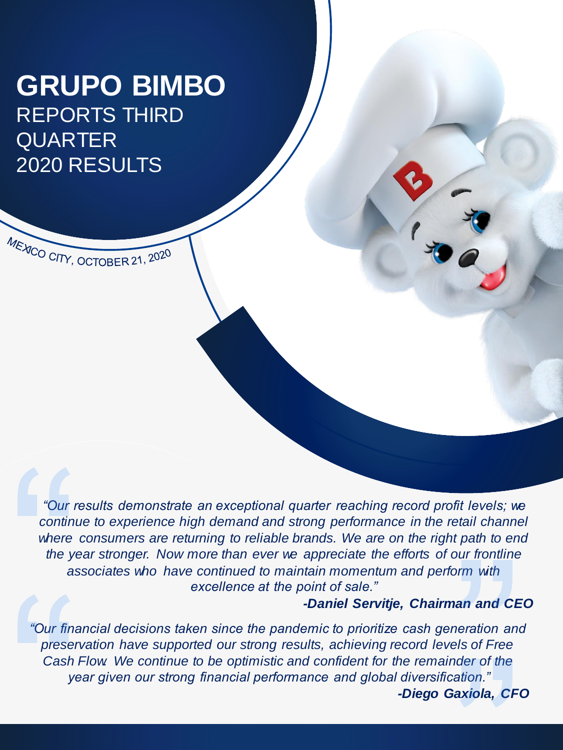# **GRUPO BIMBO** REPORTS THIRD QUARTER 2020 RESULTS

MEXICO CITY, OCTOBER 21, 2020

*"Our results demonstrate an exceptional quarter reaching record profit levels; we continue to experience high demand and strong performance in the retail channel where consumers are returning to reliable brands. We are on the right path to end the year stronger. Now more than ever we appreciate the efforts of our frontline associates who have continued to maintain momentum and perform with excellence at the point of sale."*

#### *-Daniel Servitje, Chairman and CEO*

*"Our financial decisions taken since the pandemic to prioritize cash generation and preservation have supported our strong results, achieving record levels of Free Cash Flow. We continue to be optimistic and confident for the remainder of the year given our strong financial performance and global diversification." -Diego Gaxiola, CFO*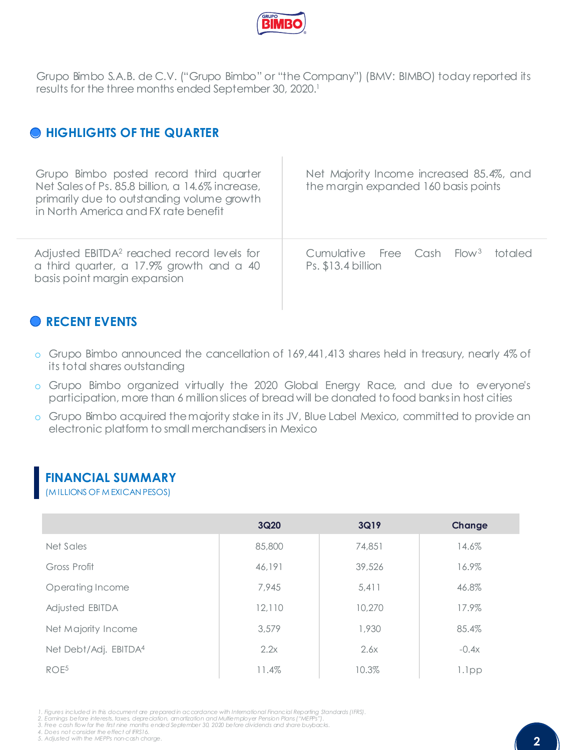

Grupo Bimbo S.A.B. de C.V. ("Grupo Bimbo" or "the Company") (BMV: BIMBO) today reported its results for the three months ended September 30, 2020. 1

### **HIGHLIGHTS OF THE QUARTER**

| Grupo Bimbo posted record third quarter<br>Net Sales of Ps. 85.8 billion, a 14.6% increase,<br>primarily due to outstanding volume growth<br>in North America and FX rate benefit | Net Majority Income increased 85.4%, and<br>the margin expanded 160 basis points |
|-----------------------------------------------------------------------------------------------------------------------------------------------------------------------------------|----------------------------------------------------------------------------------|
| Adjusted EBITDA <sup>2</sup> reached record levels for                                                                                                                            | Cumulative Free Cash Flow <sup>3</sup>                                           |
| a third quarter, a 17.9% growth and a 40                                                                                                                                          | totaled                                                                          |
| basis point margin expansion                                                                                                                                                      | Ps. \$13.4 billion                                                               |

### **RECENT EVENTS**

- o Grupo Bimbo announced the cancellation of 169,441,413 shares held in treasury, nearly 4% of its total shares outstanding
- o Grupo Bimbo organized virtually the 2020 Global Energy Race, and due to everyone's participation, more than 6 million slices of bread will be donated to food banksin host cities
- o Grupo Bimbo acquired themajority stake in its JV, Blue Label Mexico, committed to provide an electronic platform to small merchandisers in Mexico

#### **FINANCIAL SUMMARY**

(M ILLIONS OF M EXICAN PESOS)

|                       | 3Q20   | 3Q19   | Change  |
|-----------------------|--------|--------|---------|
| Net Sales             | 85,800 | 74,851 | 14.6%   |
| Gross Profit          | 46,191 | 39,526 | 16.9%   |
| Operating Income      | 7.945  | 5.411  | 46.8%   |
| Adjusted EBITDA       | 12,110 | 10,270 | 17.9%   |
| Net Majority Income   | 3,579  | 1,930  | 85.4%   |
| Net Debt/Adj. EBITDA4 | 2.2x   | 2.6x   | $-0.4x$ |
| ROE <sup>5</sup>      | 11.4%  | 10.3%  | 1.1pp   |

- 1. Figures included in this document are prepared in accordance with International Financial Reporting Standards (IFRS).<br>2. Earnings before interests, taxes, depreciation, amortization and Multiemployer Pension Plans ("MEP
- 3. Free cash flow for the first nine months ended September 30, 2020 before dividends and share buybacks.

*4. Does not consider the effect of IFRS16. 5. Adjusted with the MEPPs non-cash charge.*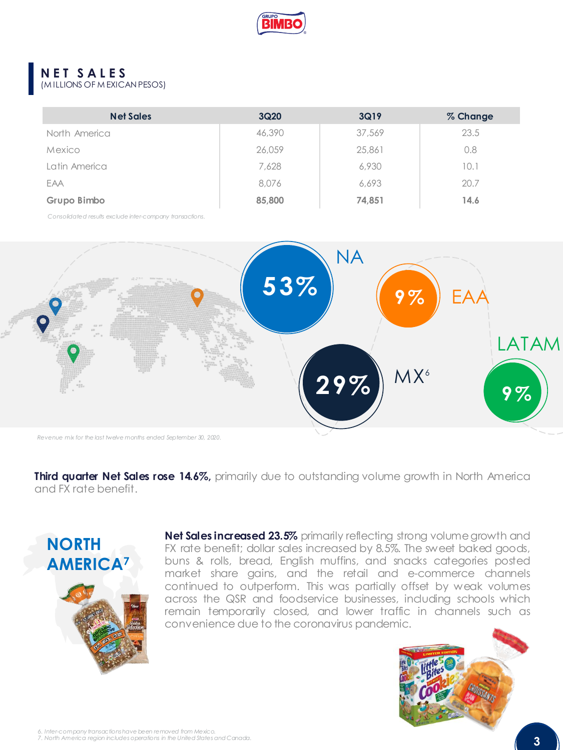

### **N E T S A L E S**

(M ILLIONS OF M EXICAN PESOS)

| <b>Net Sales</b> | 3Q <sub>20</sub> | 3Q19   | % Change |
|------------------|------------------|--------|----------|
| North America    | 46,390           | 37,569 | 23.5     |
| Mexico           | 26,059           | 25,861 | 0.8      |
| Latin America    | 7,628            | 6,930  | 10.1     |
| EAA              | 8.076            | 6.693  | 20.7     |
| Grupo Bimbo      | 85,800           | 74,851 | 14.6     |

*Consolidated results exclude inter-company transactions.*



**Third quarter Net Sales rose 14.6%,** primarily due to outstanding volume growth in North America and FX rate benefit.



**Net Sales increased 23.5%** primarily reflecting strong volumegrowth and FX rate benefit; dollar sales increased by 8.5%. The sweet baked goods, buns & rolls, bread, English muffins, and snacks categories posted market share gains, and the retail and e-commerce channels continued to outperform. This was partially offset by weak volumes across the QSR and foodservice businesses, including schools which remain temporarily closed, and lower traffic in channels such as convenience due to the coronavirus pandemic.

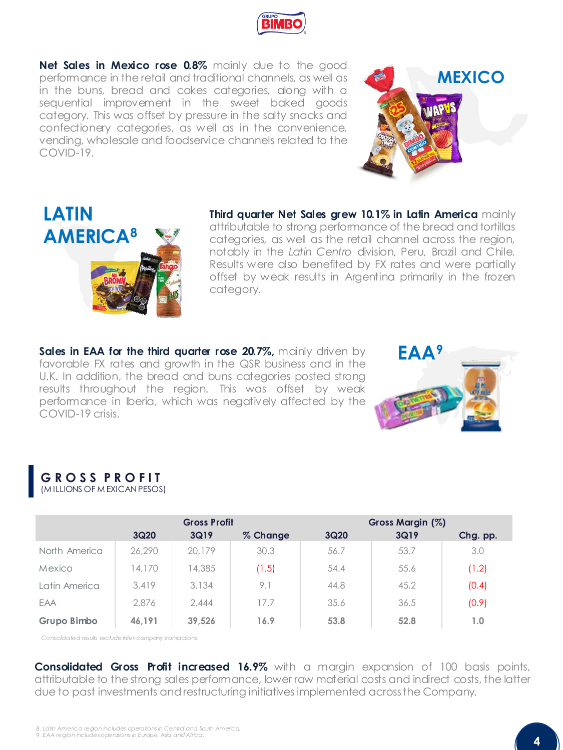

**Net Sales in Mexico rose 0.8%** mainly due to the good performance in the retail and traditional channels, as well as in the buns, bread and cakes categories, along with a sequential improvement in the sweet baked goods category. This was offset by pressure in the salty snacks and confectionery categories, as well as in the convenience, vending, wholesale and foodservice channels related to the COVID-19.





**Third quarter Net Sales grew 10.1% in Latin America** mainly attributable to strong performance of the bread and tortillas categories, as well as the retail channel across the region, notably in the *Latin Centro* division, Peru, Brazil and Chile. Results were also benefited by FX rates and were partially offset by weak results in Argentina primarily in the frozen category.

**Sales in EAA for the third quarter rose 20.7%,** mainly driven by favorable FX rates and growth in the QSR business and in the U.K. In addition, the bread and buns categories posted strong results throughout the region. This was offset by weak performance in Iberia, which was negatively affected by the COVID-19 crisis.



#### **G R O S S P R O F I T** (M ILLIONS OF M EXICAN PESOS)

|               | <b>Gross Profit</b> |        |          | Gross Margin (%) |      |          |
|---------------|---------------------|--------|----------|------------------|------|----------|
|               | 3Q20                | 3Q19   | % Change | 3Q20             | 3Q19 | Chg. pp. |
| North America | 26,290              | 20,179 | 30.3     | 56.7             | 53.7 | 3.0      |
| Mexico        | 14,170              | 4,385  | (1.5)    | 54.4             | 55.6 | (1.2)    |
| Latin America | 3.419               | 3.134  | 9.1      | 44.8             | 45.2 | (0.4)    |
| EAA           | 2.876               | 2.444  | 17.7     | 35.6             | 36.5 | (0.9)    |
| Grupo Bimbo   | 46.191              | 39.526 | 16.9     | 53.8             | 52.8 | 1.0      |

*Consolidated results exclude inter-company transactions.*

**Consolidated Gross Profit increased 16.9%** with a margin expansion of 100 basis points, attributable to the strong sales performance, lower raw material costs and indirect costs, the latter due to past investments andrestructuring initiatives implemented acrossthe Company.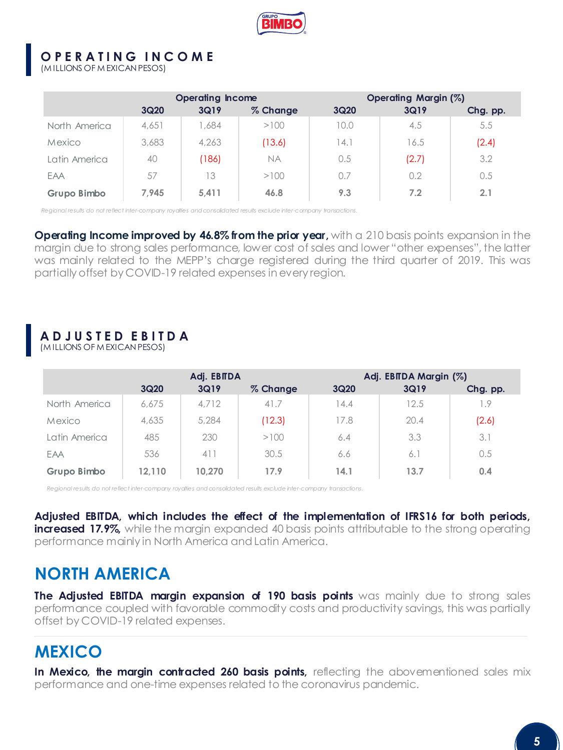

#### **O P E R A T I N G I N C O M E**

(M ILLIONS OF M EXICAN PESOS)

|               | <b>Operating Income</b> |       |           | Operating Margin (%) |       |          |
|---------------|-------------------------|-------|-----------|----------------------|-------|----------|
|               | 3Q20                    | 3Q19  | % Change  | <b>3Q20</b>          | 3Q19  | Chg. pp. |
| North America | 4,651                   | 1.684 | >100      | 0.0                  | 4.5   | 5.5      |
| Mexico        | 3,683                   | 4,263 | (13.6)    | 14.1                 | 16.5  | (2.4)    |
| Latin America | 40                      | (186) | <b>NA</b> | 0.5                  | (2.7) | 3.2      |
| EAA           | 57                      | 13    | >100      | 0.7                  | 0.2   | 0.5      |
| Grupo Bimbo   | 7.945                   | 5.411 | 46.8      | 9.3                  | 7.2   | 2.1      |

*Regional results do not reflect inter-company royalties and consolidated results exclude inter-company transactions.*

**Operating Income improved by 46.8% from the prior year,** with a 210 basis points expansion in the margin due to strong sales performance, lower cost of sales and lower "other expenses", the latter was mainly related to the MEPP's charge registered during the third quarter of 2019. This was partially offset by COVID-19 related expenses in every region.

## **A D J U S T E D E B I T D A**

(M ILLIONS OF M EXICAN PESOS)

|               | Adj. EBITDA |        |          | Adj. EBITDA Margin (%) |      |          |
|---------------|-------------|--------|----------|------------------------|------|----------|
|               | 3Q20        | 3Q19   | % Change | 3Q20                   | 3Q19 | Chg. pp. |
| North America | 6.675       | 4.712  | 41.7     | 14.4                   | 12.5 | . .9     |
| Mexico        | 4,635       | 5,284  | (12.3)   | 17.8                   | 20.4 | (2.6)    |
| Latin America | 485         | 230    | >100     | 6.4                    | 3.3  | 3.1      |
| EAA           | 536         | 411    | 30.5     | 6.6                    | 6.1  | 0.5      |
| Grupo Bimbo   | 12.110      | 10.270 | 17.9     | 14.1                   | 13.7 | 0.4      |

*Regional results do not reflect inter-company royalties and consolidated results exclude inter-company transactions.*

**Adjusted EBITDA, which includes the effect of the implementation of IFRS16 for both periods, increased 17.9%,** while the margin expanded 40 basis points attributable to the strong operating performance mainly in North America andLatin America.

## **NORTH AMERICA**

**The Adjusted EBITDA margin expansion of 190 basis points** was mainly due to strong sales performance coupled with favorable commodity costs and productivity savings, this was partially offset by COVID-19 related expenses.

## **MEXICO**

**In Mexico, the margin contracted 260 basis points,** reflecting the abovementioned sales mix performance and one-time expenses related to the coronavirus pandemic.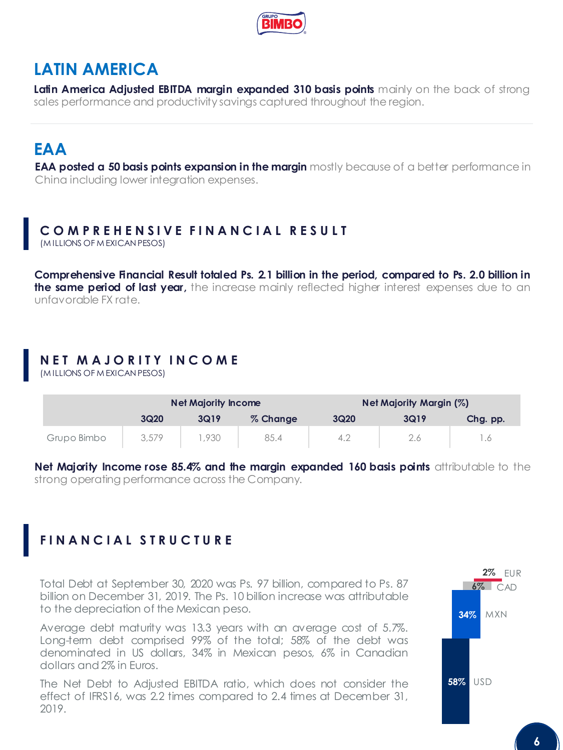

## **LATIN AMERICA**

**Latin America Adjusted EBITDA margin expanded 310 basis points** mainly on the back of strong sales performance and productivity savings captured throughout the region.

## **EAA**

**EAA posted a 50 basis points expansion in the margin** mostly because of a better performance in China including lower integration expenses.

### **C M P R E H E N S I V E F I N A N C I A L R E S U L T**

(M ILLIONS OF M EXICAN PESOS)

**Comprehensive Financial Result totaled Ps. 2.1 billion in the period, compared to Ps. 2.0 billion in the same period of last year,** the increase mainly reflected higher interest expenses due to an unfavorable FX rate.

### **N E T M A J O R I T Y I N C O M E**

(M ILLIONS OF M EXICAN PESOS)

|             | <b>Net Majority Income</b> |      |          | Net Majority Margin (%) |      |          |
|-------------|----------------------------|------|----------|-------------------------|------|----------|
|             | 3Q20                       | 3Q19 | % Change | 3Q20                    | 3Q19 | Chg. pp. |
| Grupo Bimbo | 3,579                      | .930 | 85.4     | 4.2                     |      | . . 6    |

**Net Majority Income rose 85.4% and the margin expanded 160 basis points** attributable to the strong operating performance across the Company.

### **F I N A N C I A L S T R U C T U R E**

Total Debt at September 30, 2020 was Ps. 97 billion, compared to Ps. 87 billion on December 31, 2019. The Ps. 10 billion increase was attributable to the depreciation of the Mexican peso.

Average debt maturity was 13.3 years with an average cost of 5.7%. Long-term debt comprised 99% of the total; 58% of the debt was denominated in US dollars, 34% in Mexican pesos, 6% in Canadian dollars and2% in Euros.

The Net Debt to Adjusted EBITDA ratio, which does not consider the effect of IFRS16, was 2.2 times compared to 2.4 times at December 31, 2019.

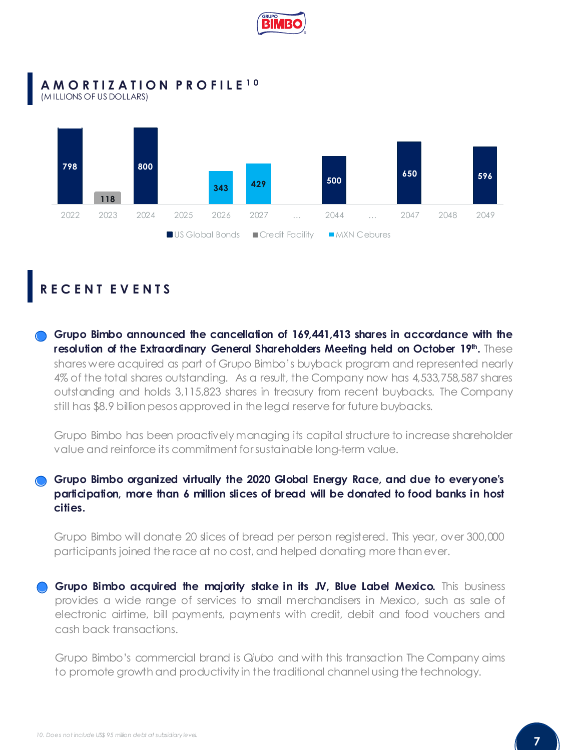

#### **A M O R T I Z A T I O N P R O F I L E 1 0** (M ILLIONS OF US DOLLARS)



### **R E C E N T E V E N T S**

**Grupo Bimbo announced the cancellation of 169,441,413 shares in accordance with the resolution of the Extraordinary General Shareholders Meeting held on October 19th .** These shares were acquired as part of Grupo Bimbo's buyback program and represented nearly 4% of the total shares outstanding. As a result, the Company now has 4,533,758,587 shares outstanding and holds 3,115,823 shares in treasury from recent buybacks. The Company still has \$8.9 billion pesos approved in the legal reserve for future buybacks.

Grupo Bimbo has been proactively managing its capital structure to increase shareholder value and reinforce its commitment forsustainable long-term value.

#### **Grupo Bimbo organized virtually the 2020 Global Energy Race, and due to everyone's participation, more than 6 million slices of bread will be donated to food banks in host cities.**

Grupo Bimbo will donate 20 slices of bread per person registered. This year, over 300,000 participants joined the race at no cost, and helped donating more thanever.

**Grupo Bimbo acquired the majority stake in its JV, Blue Label Mexico.** This business provides a wide range of services to small merchandisers in Mexico, such as sale of electronic airtime, bill payments, payments with credit, debit and food vouchers and cash back transactions.

Grupo Bimbo's commercial brand is *Qiubo* and with this transaction The Company aims to promote growth and productivity in the traditional channel using the technology.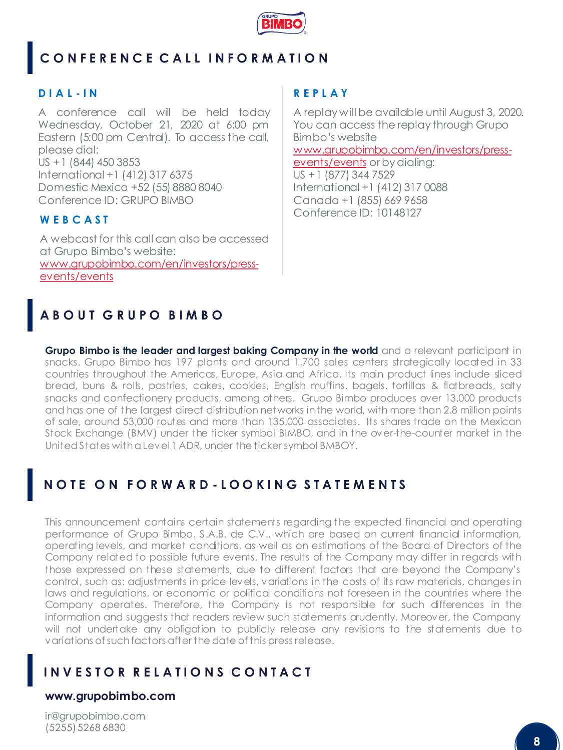

## **C O N F E R E N C E C A L L I N F O R M A T I O N**

#### **D I A L - I N**

A conference call will be held today Wednesday, October 21, 2020 at 6:00 pm Eastern (5:00 pm Central). To access the call, please dial: US +1 (844) 450 3853 International +1 (412) 317 6375 Domestic Mexico +52 (55) 8880 8040 Conference ID: GRUPO BIMBO

#### **W E B C A S T**

A webcast for this call can also be accessed at Grupo Bimbo's website: [www.grupobimbo.com/en/investors/press](http://www.grupobimbo.com/en/investors/press-events/events)events/events

#### **R E P L A Y**

A replay will be available until August 3, 2020. You can access the replay through Grupo Bimbo's website [www.grupobimbo.com/en/investors/press](http://www.grupobimbo.com/en/investors/press-events/events)events/events or by dialing: US +1 (877) 344 7529 International +1 (412) 317 0088 Canada +1 (855) 669 9658 Conference ID: 10148127

### **A B O U T G R U P O B I M B O**

**Grupo Bimbo is the leader and largest baking Company in the world** and a relevant participant in snacks. Grupo Bimbo has 197 plants and around 1,700 sales centers strategically located in 33 countries throughout the Americas, Europe, Asia and Africa. Its main product lines include sliced bread, buns & rolls, pastries, cakes, cookies, English muffins, bagels, tortillas & flatbreads, salty snacks and confectionery products, among others. Grupo Bimbo produces over 13,000 products and has one of the largest direct distribution networks inthe world, with more than 2.8 million points of sale, around 53,000 routes and more than 135,000 associates. Its shares trade on the Mexican Stock Exchange (BMV) under the ticker symbol BIMBO, and in the over-the-counter market in the UnitedStates withaLevel1 ADR, under the ticker symbol BMBOY.

### **N O T E O N F O R W A R D - L O O K I N G S T A T E M E N T S**

This announcement contains certain statements regarding the expected financial and operating performance of Grupo Bimbo, S.A.B. de C.V., which are based on current financial information, operating levels, and market conditions, as well as on estimations of the Board of Directors of the Company related to possible future events. The results of the Company may differ in regards with those expressed on these statements, due to different factors that are beyond the Company's control, such as: adjustments in price levels, variations in the costs of its raw materials, changes in laws and regulations, or economic or political conditions not foreseen in the countries where the Company operates. Therefore, the Company is not responsible for such differences in the information and suggests that readers review such statements prudently. Moreover, the Company will not undertake any obligation to publicly release any revisions to the statements due to variations ofsuchfactors after the date of this press release.

#### **I N V E S T O R R E L A T I O N S C O N T A C T**

#### **www.grupobimbo.com**

ir@grupobimbo.com (5255) 5268 6830